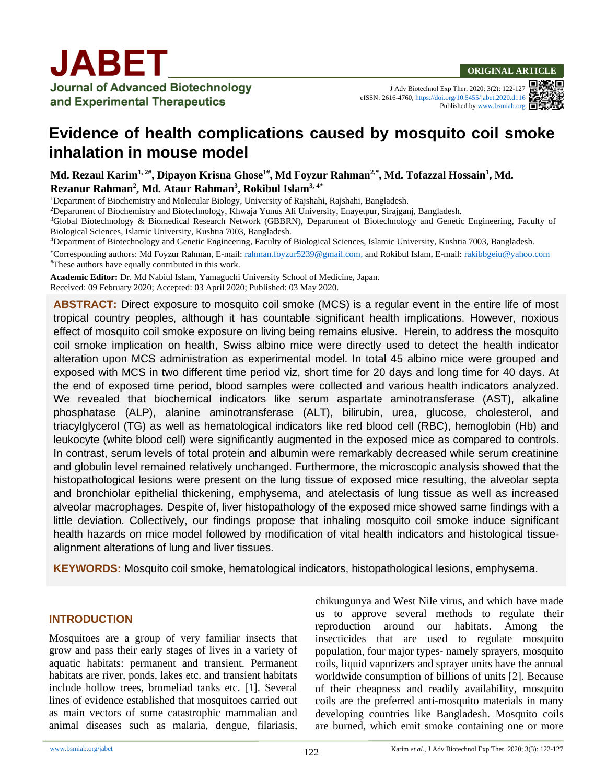and Experimental Therapeutics

J Adv Biotechnol Exp Ther. 2020; 3(2): 122-127 eISSN: 2616-4760[, https://doi.org/10.5455/jabet.2020.d116](https://doi.org/10.5455/jabet.2020.d116) Published b[y www.bsmiab.org](http://www.bsmiab.org/)  $\blacksquare$ 



# **Evidence of health complications caused by mosquito coil smoke inhalation in mouse model**

**Md. Rezaul Karim1, 2# , Dipayon Krisna Ghose1# , Md Foyzur Rahman2,\*, Md. Tofazzal Hossain<sup>1</sup> , Md. Rezanur Rahman<sup>2</sup> , Md. Ataur Rahman<sup>3</sup> , Rokibul Islam3, 4\***

<sup>1</sup>Department of Biochemistry and Molecular Biology, University of Rajshahi, Rajshahi, Bangladesh.

<sup>2</sup>Department of Biochemistry and Biotechnology, Khwaja Yunus Ali University, Enayetpur, Sirajganj, Bangladesh.

<sup>3</sup>Global Biotechnology & Biomedical Research Network (GBBRN), Department of Biotechnology and Genetic Engineering, Faculty of Biological Sciences, Islamic University, Kushtia 7003, Bangladesh.

<sup>4</sup>Department of Biotechnology and Genetic Engineering, Faculty of Biological Sciences, Islamic University, Kushtia 7003, Bangladesh.

\*Corresponding authors: Md Foyzur Rahman, E-mail: [rahman.foyzur5239@gmail.com,](mailto:rahman.foyzur5239@gmail.com) and Rokibul Islam, E-mail: [rakibbgeiu@yahoo.com](mailto:rakibbgeiu@yahoo.com) #These authors have equally contributed in this work.

**Academic Editor:** Dr. Md Nabiul Islam, Yamaguchi University School of Medicine, Japan. Received: 09 February 2020; Accepted: 03 April 2020; Published: 03 May 2020.

**ABSTRACT:** Direct exposure to mosquito coil smoke (MCS) is a regular event in the entire life of most tropical country peoples, although it has countable significant health implications. However, noxious effect of mosquito coil smoke exposure on living being remains elusive. Herein, to address the mosquito coil smoke implication on health, Swiss albino mice were directly used to detect the health indicator alteration upon MCS administration as experimental model. In total 45 albino mice were grouped and exposed with MCS in two different time period viz, short time for 20 days and long time for 40 days. At the end of exposed time period, blood samples were collected and various health indicators analyzed. We revealed that biochemical indicators like serum aspartate aminotransferase (AST), alkaline phosphatase (ALP), alanine aminotransferase (ALT), bilirubin, urea, glucose, cholesterol, and triacylglycerol (TG) as well as hematological indicators like red blood cell (RBC), hemoglobin (Hb) and leukocyte (white blood cell) were significantly augmented in the exposed mice as compared to controls. In contrast, serum levels of total protein and albumin were remarkably decreased while serum creatinine and globulin level remained relatively unchanged. Furthermore, the microscopic analysis showed that the histopathological lesions were present on the lung tissue of exposed mice resulting, the alveolar septa and bronchiolar epithelial thickening, emphysema, and atelectasis of lung tissue as well as increased alveolar macrophages. Despite of, liver histopathology of the exposed mice showed same findings with a little deviation. Collectively, our findings propose that inhaling mosquito coil smoke induce significant health hazards on mice model followed by modification of vital health indicators and histological tissuealignment alterations of lung and liver tissues.

**KEYWORDS:** Mosquito coil smoke, hematological indicators, histopathological lesions, emphysema.

## **INTRODUCTION**

Mosquitoes are a group of very familiar insects that grow and pass their early stages of lives in a variety of aquatic habitats: permanent and transient. Permanent habitats are river, ponds, lakes etc. and transient habitats include hollow trees, bromeliad tanks etc. [1]. Several lines of evidence established that mosquitoes carried out as main vectors of some catastrophic mammalian and animal diseases such as malaria, dengue, filariasis, chikungunya and West Nile virus, and which have made us to approve several methods to regulate their reproduction around our habitats. Among the insecticides that are used to regulate mosquito population, four major types- namely sprayers, mosquito coils, liquid vaporizers and sprayer units have the annual worldwide consumption of billions of units [2]. Because of their cheapness and readily availability, mosquito coils are the preferred anti-mosquito materials in many developing countries like Bangladesh. Mosquito coils are burned, which emit smoke containing one or more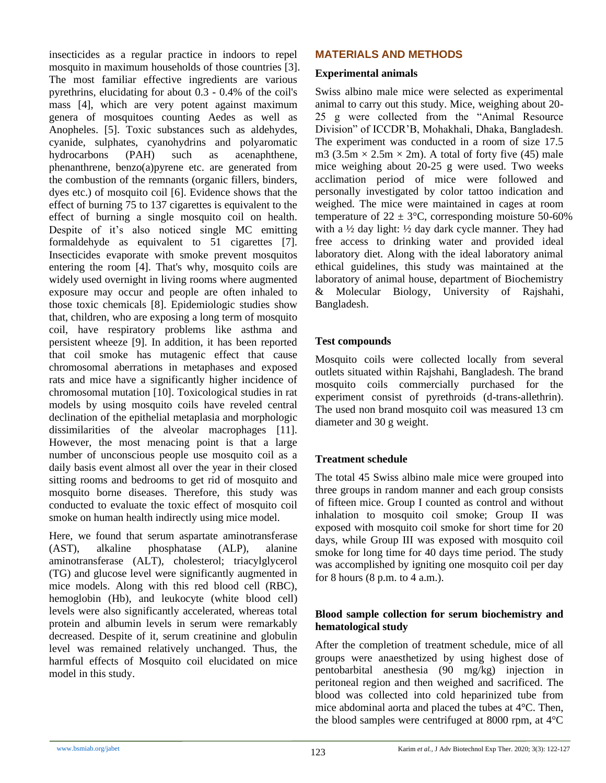insecticides as a regular practice in indoors to repel mosquito in maximum households of those countries [3]. The most familiar effective ingredients are various pyrethrins, elucidating for about 0.3 - 0.4% of the coil's mass [4], which are very potent against maximum genera of mosquitoes counting Aedes as well as Anopheles. [5]. Toxic substances such as aldehydes, cyanide, sulphates, cyanohydrins and polyaromatic hydrocarbons (PAH) such as acenaphthene, phenanthrene, benzo(a)pyrene etc. are generated from the combustion of the remnants (organic fillers, binders, dyes etc.) of mosquito coil [6]. Evidence shows that the effect of burning 75 to 137 cigarettes is equivalent to the effect of burning a single mosquito coil on health. Despite of it's also noticed single MC emitting formaldehyde as equivalent to 51 cigarettes [7]. Insecticides evaporate with smoke prevent mosquitos entering the room [4]. That's why, mosquito coils are widely used overnight in living rooms where augmented exposure may occur and people are often inhaled to those toxic chemicals [8]. Epidemiologic studies show that, children, who are exposing a long term of mosquito coil, have respiratory problems like asthma and persistent wheeze [9]. In addition, it has been reported that coil smoke has mutagenic effect that cause chromosomal aberrations in metaphases and exposed rats and mice have a significantly higher incidence of chromosomal mutation [10]. Toxicological studies in rat models by using mosquito coils have reveled central declination of the epithelial metaplasia and morphologic dissimilarities of the alveolar macrophages [11]. However, the most menacing point is that a large number of unconscious people use mosquito coil as a daily basis event almost all over the year in their closed sitting rooms and bedrooms to get rid of mosquito and mosquito borne diseases. Therefore, this study was conducted to evaluate the toxic effect of mosquito coil smoke on human health indirectly using mice model.

Here, we found that serum aspartate aminotransferase (AST), alkaline phosphatase (ALP), alanine aminotransferase (ALT), cholesterol; triacylglycerol (TG) and glucose level were significantly augmented in mice models. Along with this red blood cell (RBC), hemoglobin (Hb), and leukocyte (white blood cell) levels were also significantly accelerated, whereas total protein and albumin levels in serum were remarkably decreased. Despite of it, serum creatinine and globulin level was remained relatively unchanged. Thus, the harmful effects of Mosquito coil elucidated on mice model in this study.

# **MATERIALS AND METHODS**

#### **Experimental animals**

Swiss albino male mice were selected as experimental animal to carry out this study. Mice, weighing about 20- 25 g were collected from the "Animal Resource Division" of ICCDR'B, Mohakhali, Dhaka, Bangladesh. The experiment was conducted in a room of size 17.5 m3 (3.5m  $\times$  2.5m  $\times$  2m). A total of forty five (45) male mice weighing about 20-25 g were used. Two weeks acclimation period of mice were followed and personally investigated by color tattoo indication and weighed. The mice were maintained in cages at room temperature of  $22 \pm 3$ °C, corresponding moisture 50-60% with a  $\frac{1}{2}$  day light:  $\frac{1}{2}$  day dark cycle manner. They had free access to drinking water and provided ideal laboratory diet. Along with the ideal laboratory animal ethical guidelines, this study was maintained at the laboratory of animal house, department of Biochemistry & Molecular Biology, University of Rajshahi, Bangladesh.

## **Test compounds**

Mosquito coils were collected locally from several outlets situated within Rajshahi, Bangladesh. The brand mosquito coils commercially purchased for the experiment consist of pyrethroids (d-trans-allethrin). The used non brand mosquito coil was measured 13 cm diameter and 30 g weight.

# **Treatment schedule**

The total 45 Swiss albino male mice were grouped into three groups in random manner and each group consists of fifteen mice. Group I counted as control and without inhalation to mosquito coil smoke; Group II was exposed with mosquito coil smoke for short time for 20 days, while Group III was exposed with mosquito coil smoke for long time for 40 days time period. The study was accomplished by igniting one mosquito coil per day for 8 hours (8 p.m. to 4 a.m.).

## **Blood sample collection for serum biochemistry and hematological study**

After the completion of treatment schedule, mice of all groups were anaesthetized by using highest dose of pentobarbital anesthesia (90 mg/kg) injection in peritoneal region and then weighed and sacrificed. The blood was collected into cold heparinized tube from mice abdominal aorta and placed the tubes at 4°C. Then, the blood samples were centrifuged at 8000 rpm, at 4°C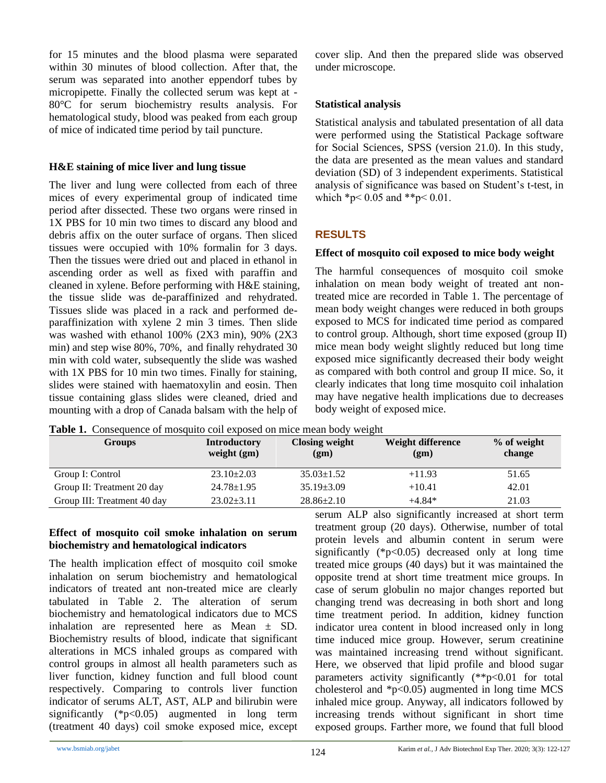for 15 minutes and the blood plasma were separated within 30 minutes of blood collection. After that, the serum was separated into another eppendorf tubes by micropipette. Finally the collected serum was kept at - 80°C for serum biochemistry results analysis. For hematological study, blood was peaked from each group of mice of indicated time period by tail puncture.

#### **H&E staining of mice liver and lung tissue**

The liver and lung were collected from each of three mices of every experimental group of indicated time period after dissected. These two organs were rinsed in 1X PBS for 10 min two times to discard any blood and debris affix on the outer surface of organs. Then sliced tissues were occupied with 10% formalin for 3 days. Then the tissues were dried out and placed in ethanol in ascending order as well as fixed with paraffin and cleaned in xylene. Before performing with H&E staining, the tissue slide was de-paraffinized and rehydrated. Tissues slide was placed in a rack and performed deparaffinization with xylene 2 min 3 times. Then slide was washed with ethanol 100% (2X3 min), 90% (2X3 min) and step wise 80%, 70%, and finally rehydrated 30 min with cold water, subsequently the slide was washed with 1X PBS for 10 min two times. Finally for staining, slides were stained with haematoxylin and eosin. Then tissue containing glass slides were cleaned, dried and mounting with a drop of Canada balsam with the help of

cover slip. And then the prepared slide was observed under microscope.

# **Statistical analysis**

Statistical analysis and tabulated presentation of all data were performed using the Statistical Package software for Social Sciences, SPSS (version 21.0). In this study, the data are presented as the mean values and standard deviation (SD) of 3 independent experiments. Statistical analysis of significance was based on Student's t-test, in which  $*_{p}$  < 0.05 and  $*_{p}$  < 0.01.

# **RESULTS**

## **Effect of mosquito coil exposed to mice body weight**

The harmful consequences of mosquito coil smoke inhalation on mean body weight of treated ant nontreated mice are recorded in Table 1. The percentage of mean body weight changes were reduced in both groups exposed to MCS for indicated time period as compared to control group. Although, short time exposed (group II) mice mean body weight slightly reduced but long time exposed mice significantly decreased their body weight as compared with both control and group II mice. So, it clearly indicates that long time mosquito coil inhalation may have negative health implications due to decreases body weight of exposed mice.

**Table 1.** Consequence of mosquito coil exposed on mice mean body weight

| Groups                      | <b>Introductory</b><br>weight $(gm)$ | <b>Closing weight</b><br>(gm) | Weight difference<br>(gm) | % of weight<br>change |
|-----------------------------|--------------------------------------|-------------------------------|---------------------------|-----------------------|
| Group I: Control            | $23.10 \pm 2.03$                     | $35.03 \pm 1.52$              | $+11.93$                  | 51.65                 |
| Group II: Treatment 20 day  | $24.78 \pm 1.95$                     | $35.19 \pm 3.09$              | $+10.41$                  | 42.01                 |
| Group III: Treatment 40 day | $23.02 \pm 3.11$                     | $28.86 \pm 2.10$              | $+4.84*$                  | 21.03                 |

## **Effect of mosquito coil smoke inhalation on serum biochemistry and hematological indicators**

The health implication effect of mosquito coil smoke inhalation on serum biochemistry and hematological indicators of treated ant non-treated mice are clearly tabulated in Table 2. The alteration of serum biochemistry and hematological indicators due to MCS inhalation are represented here as Mean ± SD. Biochemistry results of blood, indicate that significant alterations in MCS inhaled groups as compared with control groups in almost all health parameters such as liver function, kidney function and full blood count respectively. Comparing to controls liver function indicator of serums ALT, AST, ALP and bilirubin were significantly (\*p<0.05) augmented in long term (treatment 40 days) coil smoke exposed mice, except serum ALP also significantly increased at short term treatment group (20 days). Otherwise, number of total protein levels and albumin content in serum were significantly  $(*p<0.05)$  decreased only at long time treated mice groups (40 days) but it was maintained the opposite trend at short time treatment mice groups. In case of serum globulin no major changes reported but changing trend was decreasing in both short and long time treatment period. In addition, kidney function indicator urea content in blood increased only in long time induced mice group. However, serum creatinine was maintained increasing trend without significant. Here, we observed that lipid profile and blood sugar parameters activity significantly (\*\*p<0.01 for total cholesterol and  $\text{*p}$ <0.05) augmented in long time MCS inhaled mice group. Anyway, all indicators followed by increasing trends without significant in short time exposed groups. Farther more, we found that full blood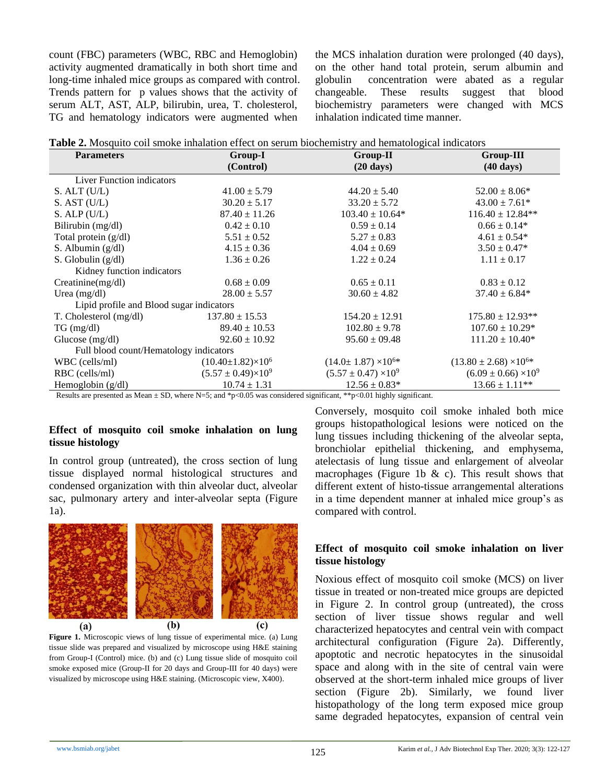count (FBC) parameters (WBC, RBC and Hemoglobin) activity augmented dramatically in both short time and long-time inhaled mice groups as compared with control. Trends pattern for p values shows that the activity of serum ALT, AST, ALP, bilirubin, urea, T. cholesterol, TG and hematology indicators were augmented when

the MCS inhalation duration were prolonged (40 days), on the other hand total protein, serum albumin and globulin concentration were abated as a regular changeable. These results suggest that blood biochemistry parameters were changed with MCS inhalation indicated time manner.

| <b>Table 2.</b> Mosquito coil smoke inhalation effect on serum biochemistry and hematological indicators |  |
|----------------------------------------------------------------------------------------------------------|--|
|----------------------------------------------------------------------------------------------------------|--|

| <b>Parameters</b>                        | Group-I                        | Group-II                         | Group-III                         |  |  |
|------------------------------------------|--------------------------------|----------------------------------|-----------------------------------|--|--|
|                                          | (Control)                      | $(20 \text{ days})$              | $(40 \text{ days})$               |  |  |
| <b>Liver Function indicators</b>         |                                |                                  |                                   |  |  |
| $S.$ ALT $(U/L)$                         | $41.00 \pm 5.79$               | $44.20 \pm 5.40$                 | $52.00 \pm 8.06*$                 |  |  |
| $S.$ AST $(U/L)$                         | $30.20 \pm 5.17$               | $33.20 \pm 5.72$                 | $43.00 \pm 7.61*$                 |  |  |
| $S.$ ALP $(U/L)$                         | $87.40 \pm 11.26$              | $103.40 \pm 10.64*$              | $116.40 \pm 12.84**$              |  |  |
| Bilirubin (mg/dl)                        | $0.42 \pm 0.10$                | $0.59 \pm 0.14$                  | $0.66 \pm 0.14*$                  |  |  |
| Total protein $(g/dl)$                   | $5.51 \pm 0.52$                | $5.27 \pm 0.83$                  | $4.61 \pm 0.54*$                  |  |  |
| S. Albumin $(g/dl)$                      | $4.15 \pm 0.36$                | $4.04 \pm 0.69$                  | $3.50 \pm 0.47*$                  |  |  |
| S. Globulin $(g/dl)$                     | $1.36 \pm 0.26$                | $1.22 \pm 0.24$                  | $1.11 \pm 0.17$                   |  |  |
| Kidney function indicators               |                                |                                  |                                   |  |  |
| $C$ reatinine $(mg/dl)$                  | $0.68 \pm 0.09$                | $0.65 \pm 0.11$                  | $0.83 \pm 0.12$                   |  |  |
| Urea $(mg/dl)$                           | $28.00 \pm 5.57$               | $30.60 \pm 4.82$                 | $37.40 \pm 6.84*$                 |  |  |
| Lipid profile and Blood sugar indicators |                                |                                  |                                   |  |  |
| T. Cholesterol (mg/dl)                   | $137.80 \pm 15.53$             | $154.20 \pm 12.91$               | $175.80 \pm 12.93**$              |  |  |
| $TG \, (mg/dl)$                          | $89.40 \pm 10.53$              | $102.80 \pm 9.78$                | $107.60 \pm 10.29*$               |  |  |
| Glucose $(mg/dl)$                        | $92.60 \pm 10.92$              | $95.60 \pm 09.48$                | $111.20 \pm 10.40*$               |  |  |
| Full blood count/Hematology indicators   |                                |                                  |                                   |  |  |
| WBC (cells/ml)                           | $(10.40 \pm 1.82) \times 10^6$ | $(14.0 \pm 1.87) \times 10^{6*}$ | $(13.80 \pm 2.68) \times 10^{6*}$ |  |  |
| RBC (cells/ml)                           | $(5.57 \pm 0.49) \times 10^9$  | $(5.57 \pm 0.47) \times 10^9$    | $(6.09 \pm 0.66) \times 10^9$     |  |  |
| Hemoglobin (g/dl)                        | $10.74 \pm 1.31$               | $12.56 \pm 0.83*$                | $13.66 \pm 1.11$ **               |  |  |

Results are presented as Mean  $\pm$  SD, where N=5; and \*p<0.05 was considered significant, \*\*p<0.01 highly significant.

#### **Effect of mosquito coil smoke inhalation on lung tissue histology**

In control group (untreated), the cross section of lung tissue displayed normal histological structures and condensed organization with thin alveolar duct, alveolar sac, pulmonary artery and inter-alveolar septa (Figure 1a).



**Figure 1.** Microscopic views of lung tissue of experimental mice. (a) Lung tissue slide was prepared and visualized by microscope using H&E staining from Group-I (Control) mice. (b) and (c) Lung tissue slide of mosquito coil smoke exposed mice (Group-II for 20 days and Group-III for 40 days) were visualized by microscope using H&E staining. (Microscopic view, X400).

Conversely, mosquito coil smoke inhaled both mice groups histopathological lesions were noticed on the lung tissues including thickening of the alveolar septa, bronchiolar epithelial thickening, and emphysema, atelectasis of lung tissue and enlargement of alveolar macrophages (Figure 1b  $\&$  c). This result shows that different extent of histo-tissue arrangemental alterations in a time dependent manner at inhaled mice group's as compared with control.

#### **Effect of mosquito coil smoke inhalation on liver tissue histology**

Noxious effect of mosquito coil smoke (MCS) on liver tissue in treated or non-treated mice groups are depicted in Figure 2. In control group (untreated), the cross section of liver tissue shows regular and well characterized hepatocytes and central vein with compact architectural configuration (Figure 2a). Differently, apoptotic and necrotic hepatocytes in the sinusoidal space and along with in the site of central vain were observed at the short-term inhaled mice groups of liver section (Figure 2b). Similarly, we found liver histopathology of the long term exposed mice group same degraded hepatocytes, expansion of central vein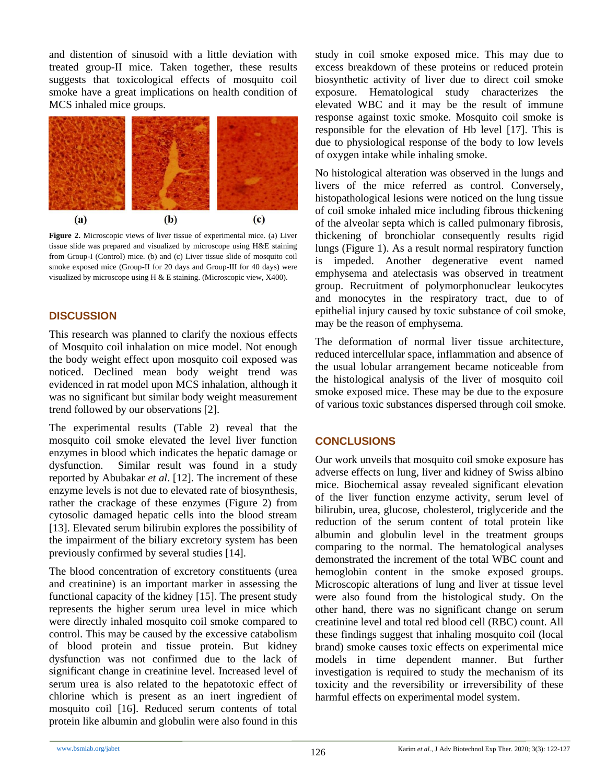and distention of sinusoid with a little deviation with treated group-II mice. Taken together, these results suggests that toxicological effects of mosquito coil smoke have a great implications on health condition of MCS inhaled mice groups.



**Figure 2.** Microscopic views of liver tissue of experimental mice. (a) Liver tissue slide was prepared and visualized by microscope using H&E staining from Group-I (Control) mice. (b) and (c) Liver tissue slide of mosquito coil smoke exposed mice (Group-II for 20 days and Group-III for 40 days) were visualized by microscope using H & E staining. (Microscopic view, X400).

# **DISCUSSION**

This research was planned to clarify the noxious effects of Mosquito coil inhalation on mice model. Not enough the body weight effect upon mosquito coil exposed was noticed. Declined mean body weight trend was evidenced in rat model upon MCS inhalation, although it was no significant but similar body weight measurement trend followed by our observations [2].

The experimental results (Table 2) reveal that the mosquito coil smoke elevated the level liver function enzymes in blood which indicates the hepatic damage or dysfunction. Similar result was found in a study reported by Abubakar *et al*. [12]. The increment of these enzyme levels is not due to elevated rate of biosynthesis, rather the crackage of these enzymes (Figure 2) from cytosolic damaged hepatic cells into the blood stream [13]. Elevated serum bilirubin explores the possibility of the impairment of the biliary excretory system has been previously confirmed by several studies [14].

The blood concentration of excretory constituents (urea and creatinine) is an important marker in assessing the functional capacity of the kidney [15]. The present study represents the higher serum urea level in mice which were directly inhaled mosquito coil smoke compared to control. This may be caused by the excessive catabolism of blood protein and tissue protein. But kidney dysfunction was not confirmed due to the lack of significant change in creatinine level. Increased level of serum urea is also related to the hepatotoxic effect of chlorine which is present as an inert ingredient of mosquito coil [16]. Reduced serum contents of total protein like albumin and globulin were also found in this study in coil smoke exposed mice. This may due to excess breakdown of these proteins or reduced protein biosynthetic activity of liver due to direct coil smoke exposure. Hematological study characterizes the elevated WBC and it may be the result of immune response against toxic smoke. Mosquito coil smoke is responsible for the elevation of Hb level [17]. This is due to physiological response of the body to low levels of oxygen intake while inhaling smoke.

No histological alteration was observed in the lungs and livers of the mice referred as control. Conversely, histopathological lesions were noticed on the lung tissue of coil smoke inhaled mice including fibrous thickening of the alveolar septa which is called pulmonary fibrosis, thickening of bronchiolar consequently results rigid lungs (Figure 1). As a result normal respiratory function is impeded. Another degenerative event named emphysema and atelectasis was observed in treatment group. Recruitment of polymorphonuclear leukocytes and monocytes in the respiratory tract, due to of epithelial injury caused by toxic substance of coil smoke, may be the reason of emphysema.

The deformation of normal liver tissue architecture, reduced intercellular space, inflammation and absence of the usual lobular arrangement became noticeable from the histological analysis of the liver of mosquito coil smoke exposed mice. These may be due to the exposure of various toxic substances dispersed through coil smoke.

# **CONCLUSIONS**

Our work unveils that mosquito coil smoke exposure has adverse effects on lung, liver and kidney of Swiss albino mice. Biochemical assay revealed significant elevation of the liver function enzyme activity, serum level of bilirubin, urea, glucose, cholesterol, triglyceride and the reduction of the serum content of total protein like albumin and globulin level in the treatment groups comparing to the normal. The hematological analyses demonstrated the increment of the total WBC count and hemoglobin content in the smoke exposed groups. Microscopic alterations of lung and liver at tissue level were also found from the histological study. On the other hand, there was no significant change on serum creatinine level and total red blood cell (RBC) count. All these findings suggest that inhaling mosquito coil (local brand) smoke causes toxic effects on experimental mice models in time dependent manner. But further investigation is required to study the mechanism of its toxicity and the reversibility or irreversibility of these harmful effects on experimental model system.